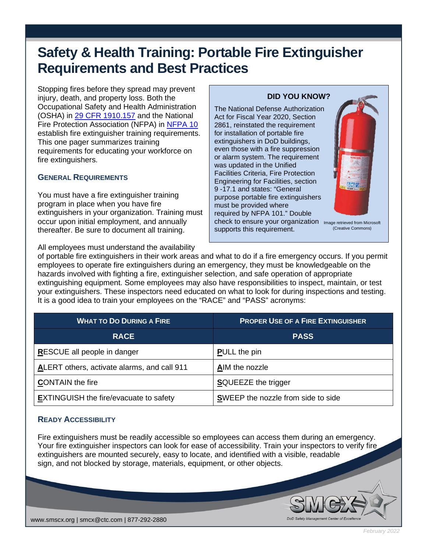# **Safety & Health Training: Portable Fire Extinguisher Requirements and Best Practices**

Stopping fires before they spread may prevent injury, death, and property loss. Both the Occupational Safety and Health Administration (OSHA) in [29 CFR 1910.157](https://www.osha.gov/laws-regs/regulations/standardnumber/1910/1910.157) and the National Fire Protection Association (NFPA) in [NFPA 10](https://www.nfpa.org/codes-and-standards/all-codes-and-standards/list-of-codes-and-standards/detail?code=10) establish fire extinguisher training requirements. This one pager summarizes training requirements for educating your workforce on fire extinguishers.

#### **GENERAL REQUIREMENTS**

You must have a fire extinguisher training program in place when you have fire extinguishers in your organization. Training must occur upon initial employment, and annually thereafter. Be sure to document all training.

All employees must understand the availability

# Act for Fiscal Year 2020, Section 2861, reinstated the requirement

**DID YOU KNOW?**

for installation of portable fire extinguishers in DoD buildings, even those with a fire suppression or alarm system. The requirement was updated in the Unified Facilities Criteria, Fire Protection Engineering for Facilities, section 9 -17.1 and states: "General purpose portable fire extinguishers must be provided where required by NFPA 101." Double check to ensure your organization Image retrieved from Microsoft supports this requirement.

The National Defense Authorization



of portable fire extinguishers in their work areas and what to do if a fire emergency occurs. If you permit employees to operate fire extinguishers during an emergency, they must be knowledgeable on the hazards involved with fighting a fire, extinguisher selection, and safe operation of appropriate extinguishing equipment. Some employees may also have responsibilities to inspect, maintain, or test your extinguishers. These inspectors need educated on what to look for during inspections and testing. It is a good idea to train your employees on the "RACE" and "PASS" acronyms:

| <b>WHAT TO DO DURING A FIRE</b>               | <b>PROPER USE OF A FIRE EXTINGUISHER</b> |
|-----------------------------------------------|------------------------------------------|
| <b>RACE</b>                                   | <b>PASS</b>                              |
| <b>RESCUE all people in danger</b>            | <b>PULL</b> the pin                      |
| ALERT others, activate alarms, and call 911   | AIM the nozzle                           |
| <b>CONTAIN</b> the fire                       | <b>SQUEEZE</b> the trigger               |
| <b>EXTINGUISH the fire/evacuate to safety</b> | SWEEP the nozzle from side to side       |

### **READY ACCESSIBILITY**

Fire extinguishers must be readily accessible so employees can access them during an emergency. Your fire extinguisher inspectors can look for ease of accessibility. Train your inspectors to verify fire extinguishers are mounted securely, easy to locate, and identified with a visible, readable sign, and not blocked by storage, materials, equipment, or other objects.



*February 2022*